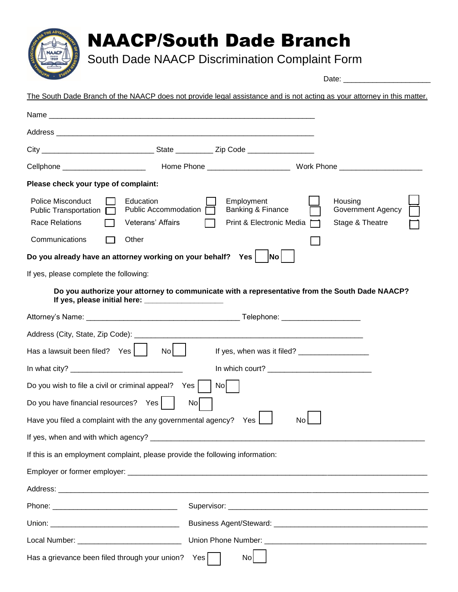## NAACP/South Dade Branch

South Dade NAACP Discrimination Complaint Form

Date: The South Dade Branch of the NAACP does not provide legal assistance and is not acting as your attorney in this matter. Name Address **and a** City City State Zip Code Cellphone **Example 2** Home Phone **Example 2** Work Phone 2 Work Phone 2 More 2 Work Phone 2 More 2 More 2 More 2 More 2 More 2 More 2 More 2 More 2 More 2 More 2 More 2 More 2 More 2 More 2 More 2 More 2 More 2 More 2 More **Please check your type of complaint:** Police Misconduct  $\Box$  Education  $\Box$  Employment  $\Box$  Housing Public Transportation  $\Box$  Public Accommodation  $\Box$  Banking & Finance  $\Box$  Government Agency Race Relations **[ ]** Veterans' Affairs **[ ]** Print & Electronic Media  $\overline{ }$  Stage & Theatre  $Common$  Communications  $\Box$  Other **Do you already have an attorney working on your behalf?** Yes |  $|No|$ If yes, please complete the following: **Do you authorize your attorney to communicate with a representative from the South Dade NAACP?** If yes, please initial here: Attorney's Name: \_\_\_\_\_\_\_\_\_\_\_\_\_\_\_\_\_\_\_\_\_\_\_\_\_\_\_\_\_\_\_\_\_\_\_\_\_ Telephone: \_\_\_\_\_\_\_\_\_\_\_\_\_\_\_\_\_\_\_ Address (City, State, Zip Code): \_\_\_\_\_\_\_\_\_\_\_\_\_\_\_\_\_\_\_\_\_\_\_\_\_\_\_\_\_\_\_\_\_\_\_\_\_\_\_\_\_\_\_\_\_\_\_\_\_\_\_\_\_\_\_ Has a lawsuit been filed?  $\gamma$ es  $\begin{vmatrix} 1 & 1 \\ 1 & 1 \end{vmatrix}$  If yes, when was it filed? In what city? \_\_\_\_\_\_\_\_\_\_\_\_\_\_\_\_\_\_\_\_\_\_\_\_\_\_\_ In which court? \_\_\_\_\_\_\_\_\_\_\_\_\_\_\_\_\_\_\_\_\_\_\_\_\_ Do you wish to file a civil or criminal appeal? Yes  $\vert \vert$  No Do you have financial resources? Yes | | No Have you filed a complaint with the any governmental agency?  $Yes$  | | No If yes, when and with which agency? \_\_\_\_\_\_\_\_\_\_\_\_\_\_\_\_\_\_\_\_\_\_\_\_\_\_\_\_\_\_\_\_\_\_\_\_\_\_\_\_\_\_\_\_\_\_\_\_\_\_\_\_\_\_\_\_\_\_\_\_\_\_\_\_\_\_ If this is an employment complaint, please provide the following information: Employer or former employer:  $\Box$ Address: **and a set of the set of the set of the set of the set of the set of the set of the set of the set of the set of the set of the set of the set of the set of the set of the set of the set of the set of the set of t** Phone: \_\_\_\_\_\_\_\_\_\_\_\_\_\_\_\_\_\_\_\_\_\_\_\_\_\_\_\_\_\_ Supervisor: \_\_\_\_\_\_\_\_\_\_\_\_\_\_\_\_\_\_\_\_\_\_\_\_\_\_\_\_\_\_\_\_\_\_\_\_\_\_\_\_\_\_\_\_\_\_\_\_ Union: \_\_\_\_\_\_\_\_\_\_\_\_\_\_\_\_\_\_\_\_\_\_\_\_\_\_\_\_\_\_\_ Business Agent/Steward: \_\_\_\_\_\_\_\_\_\_\_\_\_\_\_\_\_\_\_\_\_\_\_\_\_\_\_\_\_\_\_\_\_\_\_\_\_ Local Number: \_\_\_\_\_\_\_\_\_\_\_\_\_\_\_\_\_\_\_\_\_\_\_\_\_ Union Phone Number: \_\_\_\_\_\_\_\_\_\_\_\_\_\_\_\_\_\_\_\_\_\_\_\_\_\_\_\_\_\_\_\_\_\_\_\_\_\_\_

Has a grievance been filed through your union? Yes  $\begin{bmatrix} 1 & 1 \\ 1 & 1 \end{bmatrix}$